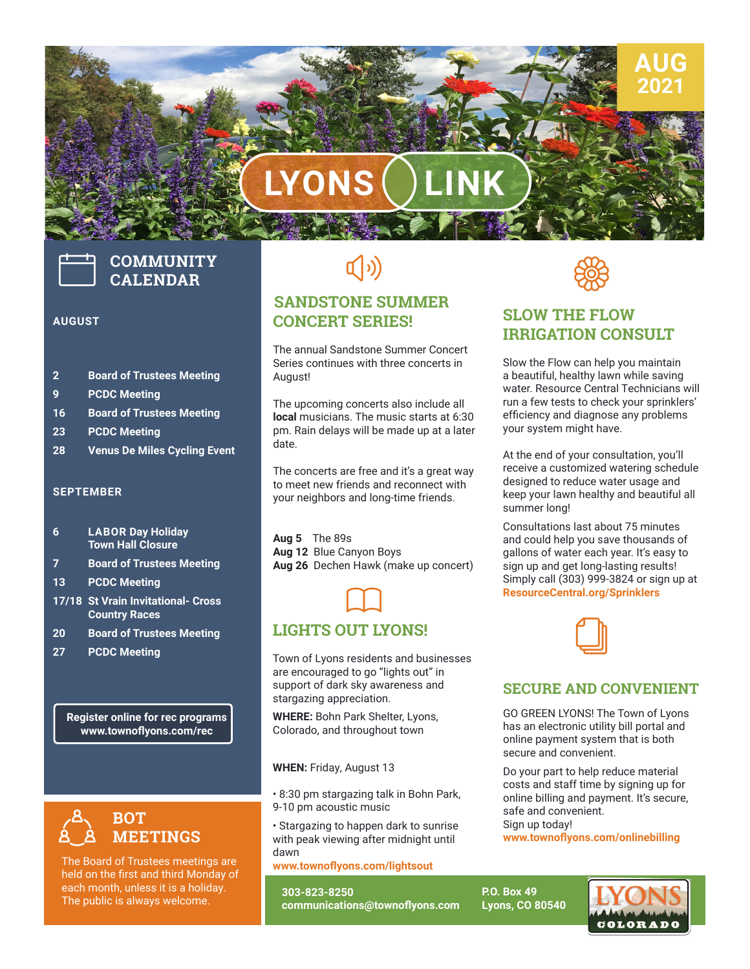# **LYONS LINK**

# **COMMUNITY CALENDAR**

#### **AUGUST**

- **2 Board of Trustees Meeting**
- **9 PCDC Meeting**
- **16 Board of Trustees Meeting**
- **23 PCDC Meeting**
- **28 Venus De Miles Cycling Event**

#### **SEPTEMBER**

- **6 LABOR Day Holiday Town Hall Closure**
- **7 Board of Trustees Meeting**
- **13 PCDC Meeting**
- **17/18 St Vrain Invitational- Cross Country Races**
- **20 Board of Trustees Meeting**
- **27 PCDC Meeting**

**Register online for rec programs www.townoflyons.com/rec**



The Board of Trustees meetings are held on the first and third Monday of each month, unless it is a holiday. The public is always welcome.

# $\left(\hspace{-2pt}\left(\cdot\right)\right)$

### **SANDSTONE SUMMER CONCERT SERIES!**

The annual Sandstone Summer Concert Series continues with three concerts in August!

The upcoming concerts also include all **local** musicians. The music starts at 6:30 pm. Rain delays will be made up at a later date.

The concerts are free and it's a great way to meet new friends and reconnect with your neighbors and long-time friends.

**Aug 5** The 89s **Aug 12** Blue Canyon Boys **Aug 26** Dechen Hawk (make up concert)



### **LIGHTS OUT LYONS!**

Town of Lyons residents and businesses are encouraged to go "lights out" in support of dark sky awareness and stargazing appreciation.

**WHERE:** Bohn Park Shelter, Lyons, Colorado, and throughout town

**WHEN:** Friday, August 13

**DID YOU KNOW?** • 8:30 pm stargazing talk in Bohn Park, 9-10 pm acoustic music

• Stargazing to happen dark to sunrise with peak viewing after midnight until dawn

**www.townoflyons.com/lightsout**

**303-823-8250 communications@townoflyons.com**



**AUG 2021**

# **SLOW THE FLOW IRRIGATION CONSULT**

Slow the Flow can help you maintain a beautiful, healthy lawn while saving water. Resource Central Technicians will run a few tests to check your sprinklers' efficiency and diagnose any problems your system might have.

At the end of your consultation, you'll receive a customized watering schedule designed to reduce water usage and keep your lawn healthy and beautiful all summer long!

Consultations last about 75 minutes and could help you save thousands of gallons of water each year. It's easy to sign up and get long-lasting results! Simply call (303) 999-3824 or sign up at **ResourceCentral.org/Sprinklers**



#### **SECURE AND CONVENIENT**

GO GREEN LYONS! The Town of Lyons has an electronic utility bill portal and online payment system that is both secure and convenient.

Do your part to help reduce material costs and staff time by signing up for online billing and payment. It's secure, safe and convenient. Sign up today!

**www.townoflyons.com/onlinebilling**

**P.O. Box 49 Lyons, CO 80540**